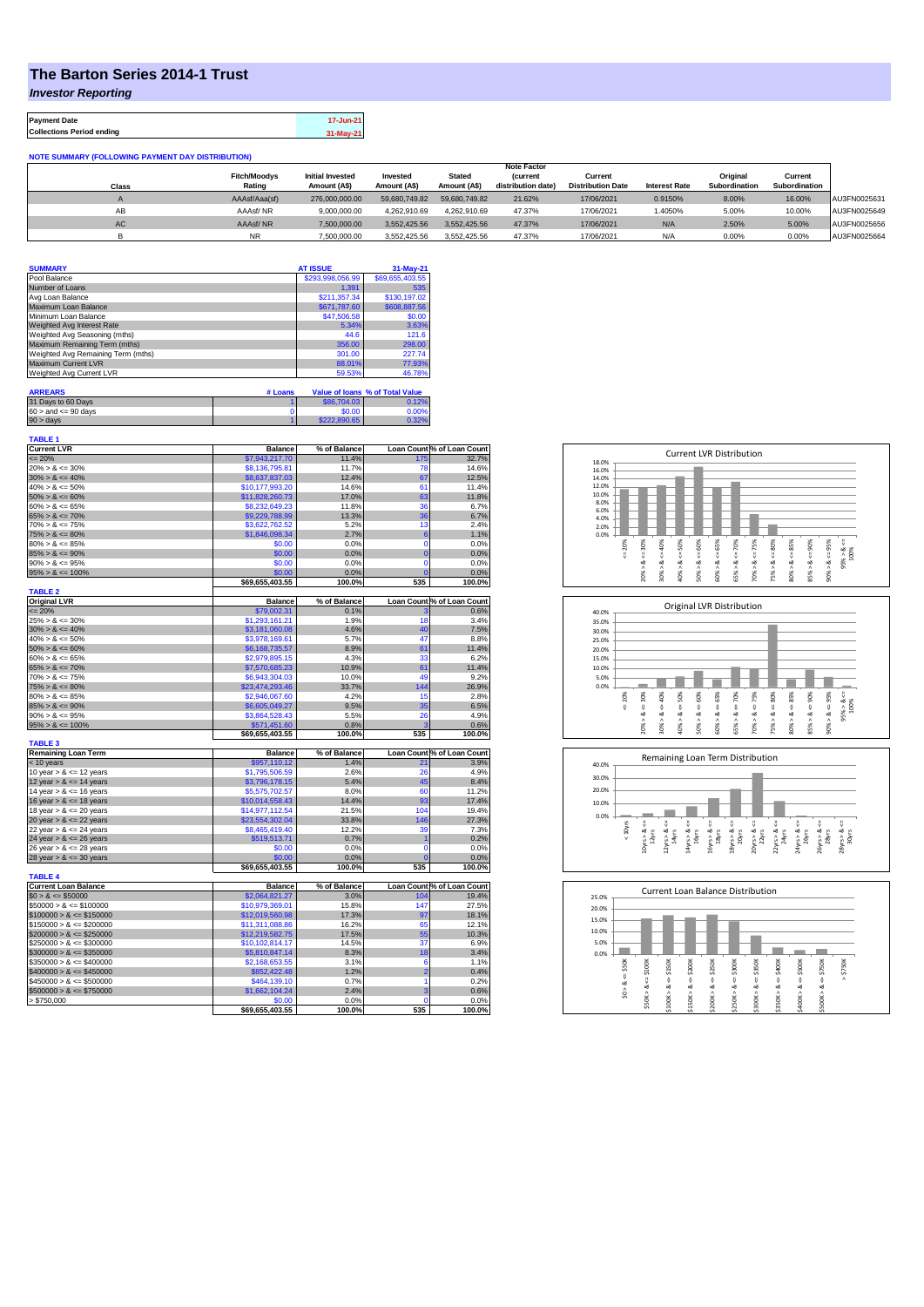## **The Barton Series 2014-1 Trust**

*Investor Reporting*

| <b>Payment Date</b>              | 17-Jun-21 |
|----------------------------------|-----------|
| <b>Collections Period ending</b> | 31-May-21 |

**NOTE SUMMARY (FOLLOWING PAYMENT DAY DISTRIBUTION)**

|           |                     |                         |               |               | <b>Note Factor</b> |                          |                      |                      |               |              |
|-----------|---------------------|-------------------------|---------------|---------------|--------------------|--------------------------|----------------------|----------------------|---------------|--------------|
|           | <b>Fitch/Moodys</b> | <b>Initial Invested</b> | Invested      | <b>Stated</b> | <i>(current</i>    | Current                  |                      | Original             | Current       |              |
| Class     | Rating              | Amount (A\$)            | Amount (A\$)  | Amount (A\$)  | distribution date) | <b>Distribution Date</b> | <b>Interest Rate</b> | <b>Subordination</b> | Subordination |              |
|           | AAAsf/Aaa(sf)       | 276,000,000,00          | 59.680.749.82 | 59.680.749.82 | 21.62%             | 17/06/2021               | 0.9150%              | 8.00%                | 16.00%        | AU3FN0025631 |
| AВ        | AAAsf/NR            | 9,000,000.00            | 4.262.910.69  | 4.262.910.69  | 47.37%             | 17/06/2021               | 1.4050%              | 5.00%                | 10.00%        | AU3FN0025649 |
| <b>AC</b> | AAAsf/NR            | 7,500,000.00            | 3.552.425.56  | 3.552.425.56  | 47.37%             | 17/06/2021               | N/A                  | 2.50%                | 5.00%         | AU3FN0025656 |
|           | <b>NR</b>           | 7.500.000.00            | 3.552.425.56  | 3.552.425.56  | 47.37%             | 17/06/2021               | N/A                  | 0.00%                | 0.00%         | AU3FN0025664 |

| <b>SUMMARY</b>                     | <b>AT ISSUE</b>  | $31-May-21$     |
|------------------------------------|------------------|-----------------|
| Pool Balance                       | \$293,998,056.99 | \$69,655,403.55 |
| Number of Loans                    | 1.391            | 535             |
| Avg Loan Balance                   | \$211,357.34     | \$130,197.02    |
| Maximum Loan Balance               | \$671,787.60     | \$608,887.56    |
| Minimum Loan Balance               | \$47,506.58      | \$0.00          |
| Weighted Avg Interest Rate         | 5.34%            | 3.63%           |
| Weighted Avg Seasoning (mths)      | 44.6             | 121.6           |
| Maximum Remaining Term (mths)      | 356.00           | 298.00          |
| Weighted Avg Remaining Term (mths) | 301.00           | 227.74          |
| Maximum Current LVR                | 88.01%           | 77.93%          |
| Weighted Avg Current LVR           | 59.53%           | 46.78%          |

| <b>ARREARS</b>            | # Loans |              | Value of Ioans % of Total Value |
|---------------------------|---------|--------------|---------------------------------|
| 31 Days to 60 Days        |         | \$86,704.03  | 0.12%                           |
| $60 >$ and $\leq 90$ days |         | \$0.00       | 0.00%                           |
| $90 >$ days               |         | \$222,890.65 | 0.32%                           |

| <b>TABLE 1</b>              |                          |              |                |                            |
|-----------------------------|--------------------------|--------------|----------------|----------------------------|
| <b>Current LVR</b>          | <b>Balance</b>           | % of Balance |                | Loan Count % of Loan Count |
| $= 20%$                     | \$7,943,217.70           | 11.4%        | 175            | 32.7%                      |
| $20\% > 8 \le 30\%$         | \$8,136,795.81           | 11.7%        | 78             | 14.6%                      |
| $30\% > 8 \le 40\%$         | \$8,637,837.03           | 12.4%        | 67             | 12.5%                      |
| $40\% > 8 \le 50\%$         | \$10,177,993.20          | 14.6%        | 61             | 11.4%                      |
| $50\% > 8 \le 60\%$         | \$11,828,260.73          | 17.0%        | 63             | 11.8%                      |
| $60\% > 8 \le 65\%$         | \$8,232,649.23           | 11.8%        | 36             | 6.7%                       |
| $65\% > 8 \le 70\%$         | \$9,229,788.99           | 13.3%        | 36             | 6.7%                       |
| $70\% > 8 \le 75\%$         | \$3,622,762.52           | 5.2%         | 13             | 2.4%                       |
| $75\% > 8 \le 80\%$         | \$1,846,098.34           | 2.7%         | 6              | 1.1%                       |
| $80\% > 8 \le 85\%$         | \$0.00                   | 0.0%         | 0              | 0.0%                       |
| $85\% > 8 \le 90\%$         | \$0.00                   | 0.0%         | $\overline{0}$ | 0.0%                       |
| $90\% > 8 \le 95\%$         | \$0.00                   | 0.0%         | 0              | 0.0%                       |
| $95\% > 8 \le 100\%$        | \$0.00                   | 0.0%         | $\overline{0}$ | 0.0%                       |
|                             | \$69,655,403.55          | 100.0%       | 535            | 100.0%                     |
| <b>TABLE 2</b>              |                          |              |                |                            |
| <b>Original LVR</b>         | <b>Balance</b>           | % of Balance |                | Loan Count % of Loan Count |
| $= 20%$                     | \$79,002.31              | 0.1%         |                | 0.6%                       |
| $25\% > 8 \le 30\%$         | \$1,293,161.21           | 1.9%         | 18             | 3.4%                       |
| $30\% > 8 \le 40\%$         | \$3,181,060.08           | 4.6%         | 40             | 7.5%                       |
| $40\% > 8 \le 50\%$         | \$3,978,169.61           | 5.7%         | 47             | 8.8%                       |
| $50\% > 8 \le 60\%$         | \$6,168,735.57           | 8.9%         | 61             | 11.4%                      |
| $60\% > 8 \le 65\%$         |                          | 4.3%         | 33             | 6.2%                       |
|                             | \$2,979,895.15           |              |                |                            |
| $65\% > 8 \le 70\%$         | \$7,570,685.23           | 10.9%        | 61<br>49       | 11.4%                      |
| $70\% > 8 \le 75\%$         | \$6,943,304.03           | 10.0%        |                | 9.2%                       |
| $75\% > 8 \le 80\%$         | \$23,474,293.46          | 33.7%        | 144            | 26.9%                      |
| $80\% > 8 \le 85\%$         | \$2,946,067.60           | 4.2%         | 15             | 2.8%                       |
| $85\% > 8 \le 90\%$         | \$6,605,049.27           | 9.5%         | 35             | 6.5%                       |
| $90\% > 8 \le 95\%$         | \$3,864,528.43           | 5.5%         | 26             | 4.9%                       |
| $95\% > 8 \le 100\%$        | \$571,451.60             | 0.8%         | ä              | 0.6%                       |
|                             | \$69,655,403.55          | 100.0%       | 535            | 100.0%                     |
| <b>TABLE 3</b>              |                          |              |                |                            |
| <b>Remaining Loan Term</b>  | <b>Balance</b>           | % of Balance |                | Loan Count % of Loan Count |
| < 10 years                  | \$957,110.12             | 1.4%         | 21             | 3.9%                       |
| 10 year $> 8 \le 12$ years  | \$1,795,506.59           | 2.6%         | 26             | 4.9%                       |
| 12 year $> 8 \le 14$ years  | \$3,796,178.15           | 5.4%         | 45             | 8.4%                       |
| 14 year $> 8 \le 16$ years  | \$5,575,702.57           | 8.0%         | 60             | 11.2%                      |
| 16 year $> 8 \le 18$ years  | \$10,014,558.43          | 14.4%        | 93             | 17.4%                      |
| 18 year $> 8 \le 20$ years  | \$14,977,112.54          | 21.5%        | 104            | 19.4%                      |
| 20 year $> 8 \le 22$ years  | \$23,554,302.04          | 33.8%        | 146            | 27.3%                      |
| 22 year $> 8 \le 24$ years  | \$8,465,419.40           | 12.2%        | 39             | 7.3%                       |
| 24 year $> 8 \le 26$ years  | \$519,513.71             | 0.7%         | ۹              | 0.2%                       |
| 26 year $> 8 \le 28$ years  | \$0.00                   | 0.0%         | 0              | 0.0%                       |
| 28 year $> 8 \le 30$ years  | \$0.00                   | 0.0%         | $\overline{0}$ | 0.0%                       |
|                             | \$69,655,403.55          | 100.0%       | 535            | 100.0%                     |
| <b>TABLE 4</b>              |                          |              |                |                            |
| <b>Current Loan Balance</b> | <b>Balance</b>           | % of Balance |                | Loan Count % of Loan Count |
| $$0 > 8 \le $50000$         | \$2,064,821.27           | 3.0%         | 104            | 19.4%                      |
| $$50000 > 8 \le $100000$    | \$10,979,369.01          | 15.8%        | 147            | 27.5%                      |
| $$100000 > 8 \le $150000$   | \$12,019,560.98          | 17.3%        | 97             | 18.1%                      |
| $$150000 > 8 \leq $200000$  | \$11,311,088.86          | 16.2%        | 65             | 12.1%                      |
| $$200000 > 8 \leq $250000$  | \$12,219,582.75          | 17.5%        | 55             | 10.3%                      |
| $$250000 > 8 \le $300000$   | \$10,102,814.17          | 14.5%        | 37             | 6.9%                       |
| $$300000 > 8 \leq $350000$  | \$5,810,847.14           | 8.3%         | 18             | 3.4%                       |
| $$350000 > 8 \leq $400000$  | \$2,168,653.55           | 3.1%         | 6              | 1.1%                       |
| $$400000 > 8 \le $450000$   | \$852,422.48             | 1.2%         | $\overline{2}$ | 0.4%                       |
| $$450000 > 8 \le $500000$   |                          | 0.7%         | 1              | 0.2%                       |
|                             | \$464,139.10             |              | 3              | 0.6%                       |
| $$500000 > 8 \le $750000$   | \$1,662,104.24<br>\$0.00 | 2.4%<br>0.0% | 0              |                            |
| > \$750,000                 |                          | 100.0%       | 535            | 0.0%<br>100.0%             |
|                             | \$69,655,403.55          |              |                |                            |







| 25.0% |        |        |        |         | Current Loan Balance Distribution |        |        |        |        |        |        |
|-------|--------|--------|--------|---------|-----------------------------------|--------|--------|--------|--------|--------|--------|
| 20.0% |        |        |        |         |                                   |        |        |        |        |        |        |
| 15.0% |        |        |        |         |                                   |        |        |        |        |        |        |
| 10.0% |        |        |        |         |                                   |        |        |        |        |        |        |
| 5.0%  |        |        |        |         |                                   |        |        |        |        |        |        |
| 0.0%  |        |        |        |         |                                   |        |        |        |        |        |        |
|       | \$50K  | \$100K | \$150K | \$200K  | \$250K                            | \$300K | \$350K | \$400K | \$500K | \$750K | \$750K |
|       | J.     | ₩      | υ      |         | υ                                 | V      | ₩      | ű      |        | ₩      | Λ      |
|       | ∞<br>Λ | ಹ      | œ      | ₩<br>œ  | œ                                 | ∞      | œ      | ઌ      | œ      | త      |        |
|       | s.     |        | Λ      |         |                                   | ٨      |        | ٨      |        | ٨      |        |
|       |        | \$50K> | \$100K | \$150K> | \$200K                            | \$250K | \$300K | \$350K | \$400K | \$500K |        |